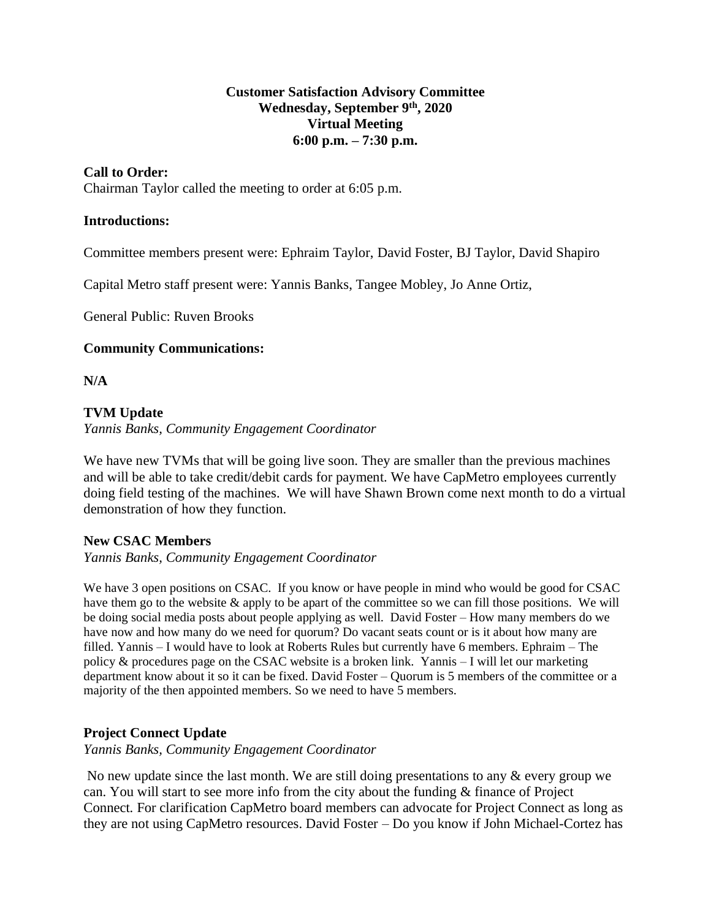## **Customer Satisfaction Advisory Committee Wednesday, September 9th , 2020 Virtual Meeting 6:00 p.m. – 7:30 p.m.**

# **Call to Order:**

Chairman Taylor called the meeting to order at 6:05 p.m.

## **Introductions:**

Committee members present were: Ephraim Taylor, David Foster, BJ Taylor, David Shapiro

Capital Metro staff present were: Yannis Banks, Tangee Mobley, Jo Anne Ortiz,

General Public: Ruven Brooks

## **Community Communications:**

**N/A**

# **TVM Update**

*Yannis Banks, Community Engagement Coordinator*

We have new TVMs that will be going live soon. They are smaller than the previous machines and will be able to take credit/debit cards for payment. We have CapMetro employees currently doing field testing of the machines. We will have Shawn Brown come next month to do a virtual demonstration of how they function.

## **New CSAC Members**

*Yannis Banks, Community Engagement Coordinator*

We have 3 open positions on CSAC. If you know or have people in mind who would be good for CSAC have them go to the website & apply to be apart of the committee so we can fill those positions. We will be doing social media posts about people applying as well. David Foster – How many members do we have now and how many do we need for quorum? Do vacant seats count or is it about how many are filled. Yannis – I would have to look at Roberts Rules but currently have 6 members. Ephraim – The policy  $\&$  procedures page on the CSAC website is a broken link. Yannis  $-I$  will let our marketing department know about it so it can be fixed. David Foster – Quorum is 5 members of the committee or a majority of the then appointed members. So we need to have 5 members.

## **Project Connect Update**

*Yannis Banks, Community Engagement Coordinator*

No new update since the last month. We are still doing presentations to any & every group we can. You will start to see more info from the city about the funding & finance of Project Connect. For clarification CapMetro board members can advocate for Project Connect as long as they are not using CapMetro resources. David Foster – Do you know if John Michael-Cortez has